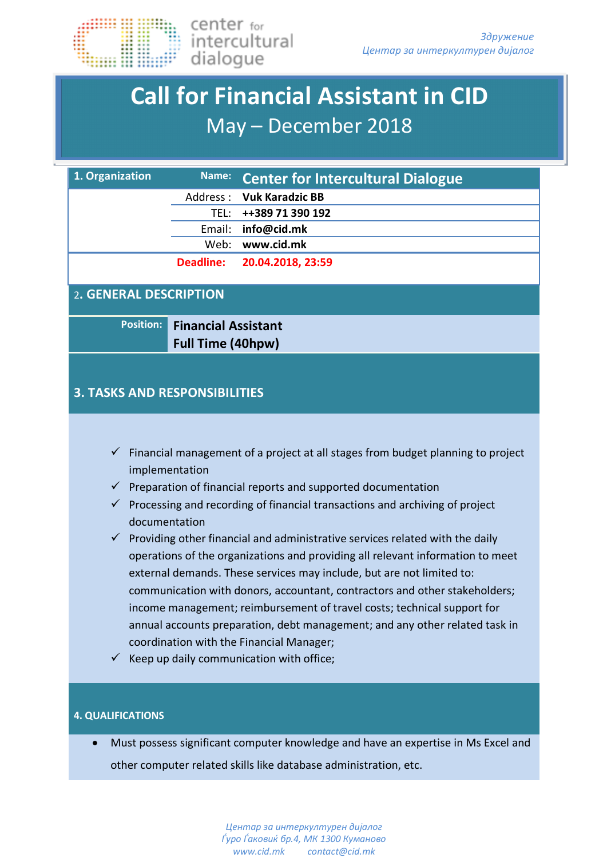

## **Call for Financial Assistant in CID**  May – December 2018

| 1. Organization                                                                                                                                                                                                                                                                                                                                                                                                                                                                                                                                                                                                                                                                                                                                                                                                                                                                               | Name:            | <b>Center for Intercultural Dialogue</b> |  |
|-----------------------------------------------------------------------------------------------------------------------------------------------------------------------------------------------------------------------------------------------------------------------------------------------------------------------------------------------------------------------------------------------------------------------------------------------------------------------------------------------------------------------------------------------------------------------------------------------------------------------------------------------------------------------------------------------------------------------------------------------------------------------------------------------------------------------------------------------------------------------------------------------|------------------|------------------------------------------|--|
|                                                                                                                                                                                                                                                                                                                                                                                                                                                                                                                                                                                                                                                                                                                                                                                                                                                                                               | Address :        | <b>Vuk Karadzic BB</b>                   |  |
|                                                                                                                                                                                                                                                                                                                                                                                                                                                                                                                                                                                                                                                                                                                                                                                                                                                                                               | TEL:             | ++389 71 390 192                         |  |
|                                                                                                                                                                                                                                                                                                                                                                                                                                                                                                                                                                                                                                                                                                                                                                                                                                                                                               | Email:           | info@cid.mk                              |  |
|                                                                                                                                                                                                                                                                                                                                                                                                                                                                                                                                                                                                                                                                                                                                                                                                                                                                                               | Web:             | www.cid.mk                               |  |
|                                                                                                                                                                                                                                                                                                                                                                                                                                                                                                                                                                                                                                                                                                                                                                                                                                                                                               | <b>Deadline:</b> | 20.04.2018, 23:59                        |  |
| 2. GENERAL DESCRIPTION                                                                                                                                                                                                                                                                                                                                                                                                                                                                                                                                                                                                                                                                                                                                                                                                                                                                        |                  |                                          |  |
| <b>Position:</b><br><b>Financial Assistant</b><br><b>Full Time (40hpw)</b>                                                                                                                                                                                                                                                                                                                                                                                                                                                                                                                                                                                                                                                                                                                                                                                                                    |                  |                                          |  |
| <b>3. TASKS AND RESPONSIBILITIES</b>                                                                                                                                                                                                                                                                                                                                                                                                                                                                                                                                                                                                                                                                                                                                                                                                                                                          |                  |                                          |  |
| $\checkmark$ Financial management of a project at all stages from budget planning to project<br>implementation<br>Preparation of financial reports and supported documentation<br>✓<br>Processing and recording of financial transactions and archiving of project<br>✓<br>documentation<br>$\checkmark$ Providing other financial and administrative services related with the daily<br>operations of the organizations and providing all relevant information to meet<br>external demands. These services may include, but are not limited to:<br>communication with donors, accountant, contractors and other stakeholders;<br>income management; reimbursement of travel costs; technical support for<br>annual accounts preparation, debt management; and any other related task in<br>coordination with the Financial Manager;<br>$\checkmark$ Keep up daily communication with office; |                  |                                          |  |
| <b>4. QUALIFICATIONS</b>                                                                                                                                                                                                                                                                                                                                                                                                                                                                                                                                                                                                                                                                                                                                                                                                                                                                      |                  |                                          |  |

• Must possess significant computer knowledge and have an expertise in Ms Excel and other computer related skills like database administration, etc.

> *Центар за интеркултурен дијалог Ѓуро Ѓаковиќ бр.4, МК 1300 Кумановo www.cid.mk contact@cid.mk*